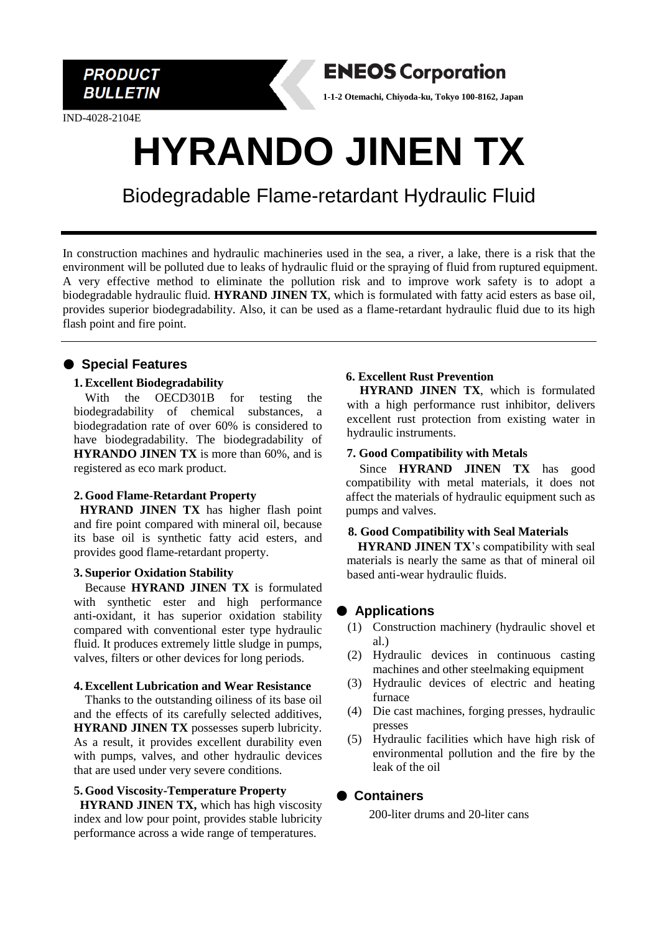

IND-4028-2104E



**1-1-2 Otemachi, Chiyoda-ku, Tokyo 100-8162, Japan**

# **HYRANDO JINEN TX**

Biodegradable Flame-retardant Hydraulic Fluid

In construction machines and hydraulic machineries used in the sea, a river, a lake, there is a risk that the environment will be polluted due to leaks of hydraulic fluid or the spraying of fluid from ruptured equipment. A very effective method to eliminate the pollution risk and to improve work safety is to adopt a biodegradable hydraulic fluid. **HYRAND JINEN TX**, which is formulated with fatty acid esters as base oil, provides superior biodegradability. Also, it can be used as a flame-retardant hydraulic fluid due to its high flash point and fire point.

# ● **Special Features**

#### **1. Excellent Biodegradability**

With the OECD301B for testing the biodegradability of chemical substances, a biodegradation rate of over 60% is considered to have biodegradability. The biodegradability of **HYRANDO JINEN TX** is more than 60%, and is registered as eco mark product.

## **2. Good Flame-Retardant Property**

**HYRAND JINEN TX** has higher flash point and fire point compared with mineral oil, because its base oil is synthetic fatty acid esters, and provides good flame-retardant property.

#### **3. Superior Oxidation Stability**

Because **HYRAND JINEN TX** is formulated with synthetic ester and high performance anti-oxidant, it has superior oxidation stability compared with conventional ester type hydraulic fluid. It produces extremely little sludge in pumps, valves, filters or other devices for long periods.

#### **4.Excellent Lubrication and Wear Resistance**

Thanks to the outstanding oiliness of its base oil and the effects of its carefully selected additives, **HYRAND JINEN TX** possesses superb lubricity. As a result, it provides excellent durability even with pumps, valves, and other hydraulic devices that are used under very severe conditions.

#### **5. Good Viscosity-Temperature Property**

**HYRAND JINEN TX,** which has high viscosity index and low pour point, provides stable lubricity performance across a wide range of temperatures.

## **6. Excellent Rust Prevention**

 **HYRAND JINEN TX**, which is formulated with a high performance rust inhibitor, delivers excellent rust protection from existing water in hydraulic instruments.

## **7. Good Compatibility with Metals**

Since **HYRAND JINEN TX** has good compatibility with metal materials, it does not affect the materials of hydraulic equipment such as pumps and valves.

## **8. Good Compatibility with Seal Materials**

**HYRAND JINEN TX**'s compatibility with seal materials is nearly the same as that of mineral oil based anti-wear hydraulic fluids.

# ● **Applications**

- (1) Construction machinery (hydraulic shovel et al.)
- (2) Hydraulic devices in continuous casting machines and other steelmaking equipment
- (3) Hydraulic devices of electric and heating furnace
- (4) Die cast machines, forging presses, hydraulic presses
- (5) Hydraulic facilities which have high risk of environmental pollution and the fire by the leak of the oil

## ● **Containers**

200-liter drums and 20-liter cans